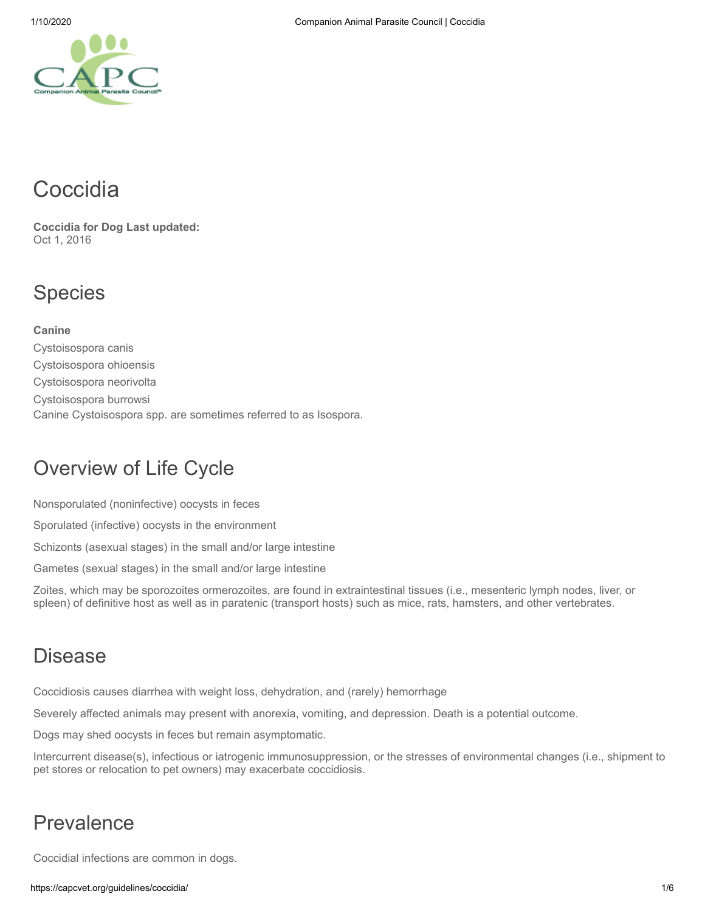# **Coccidia**

**Coccidia for Dog Last updated:** Oct 1, 2016

# Species

**Canine** Cystoisospora canis Cystoisospora ohioensis Cystoisospora neorivolta Cystoisospora burrowsi Canine Cystoisospora spp. are sometimes referred to as Isospora.

# Overview of Life Cycle

Nonsporulated (noninfective) oocysts in feces

Sporulated (infective) oocysts in the environment

Schizonts (asexual stages) in the small and/or large intestine

Gametes (sexual stages) in the small and/or large intestine

Zoites, which may be sporozoites ormerozoites, are found in extraintestinal tissues (i.e., mesenteric lymph nodes, liver, or spleen) of definitive host as well as in paratenic (transport hosts) such as mice, rats, hamsters, and other vertebrates.

# Disease

Coccidiosis causes diarrhea with weight loss, dehydration, and (rarely) hemorrhage

Severely affected animals may present with anorexia, vomiting, and depression. Death is a potential outcome.

Dogs may shed oocysts in feces but remain asymptomatic.

Intercurrent disease(s), infectious or iatrogenic immunosuppression, or the stresses of environmental changes (i.e., shipment to pet stores or relocation to pet owners) may exacerbate coccidiosis.

# Prevalence

Coccidial infections are common in dogs.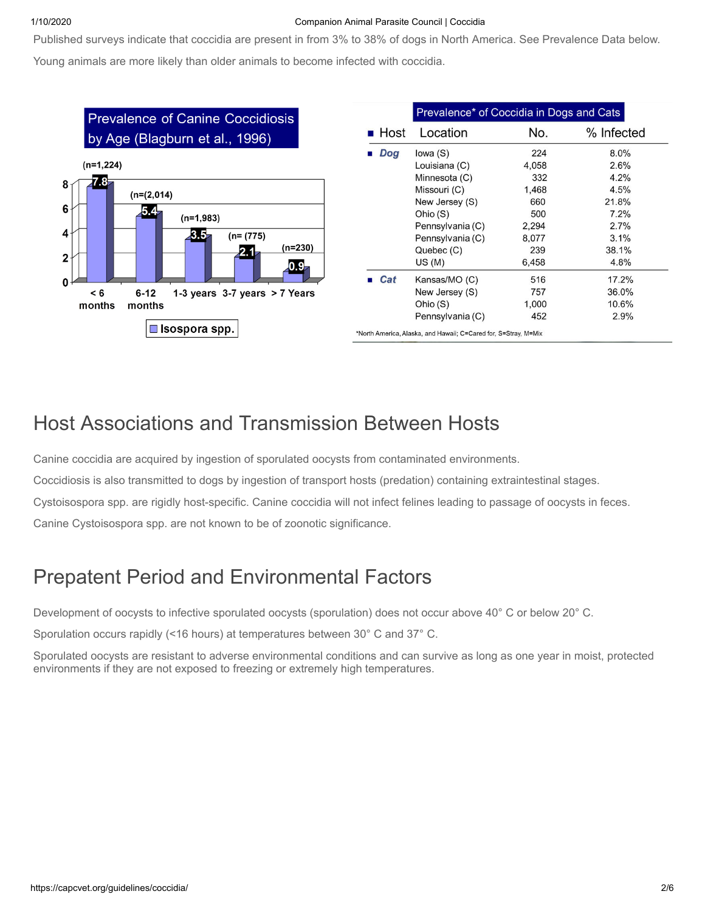#### 1/10/2020 Companion Animal Parasite Council | Coccidia

Published surveys indicate that coccidia are present in from 3% to 38% of dogs in North America. See Prevalence Data below.

Young animals are more likely than older animals to become infected with coccidia.



# Host Associations and Transmission Between Hosts

Canine coccidia are acquired by ingestion of sporulated oocysts from contaminated environments.

Coccidiosis is also transmitted to dogs by ingestion of transport hosts (predation) containing extraintestinal stages.

Cystoisospora spp. are rigidly host-specific. Canine coccidia will not infect felines leading to passage of oocysts in feces.

Canine Cystoisospora spp. are not known to be of zoonotic significance.

# Prepatent Period and Environmental Factors

Development of oocysts to infective sporulated oocysts (sporulation) does not occur above 40° C or below 20° C.

Sporulation occurs rapidly (<16 hours) at temperatures between 30° C and 37° C.

Sporulated oocysts are resistant to adverse environmental conditions and can survive as long as one year in moist, protected environments if they are not exposed to freezing or extremely high temperatures.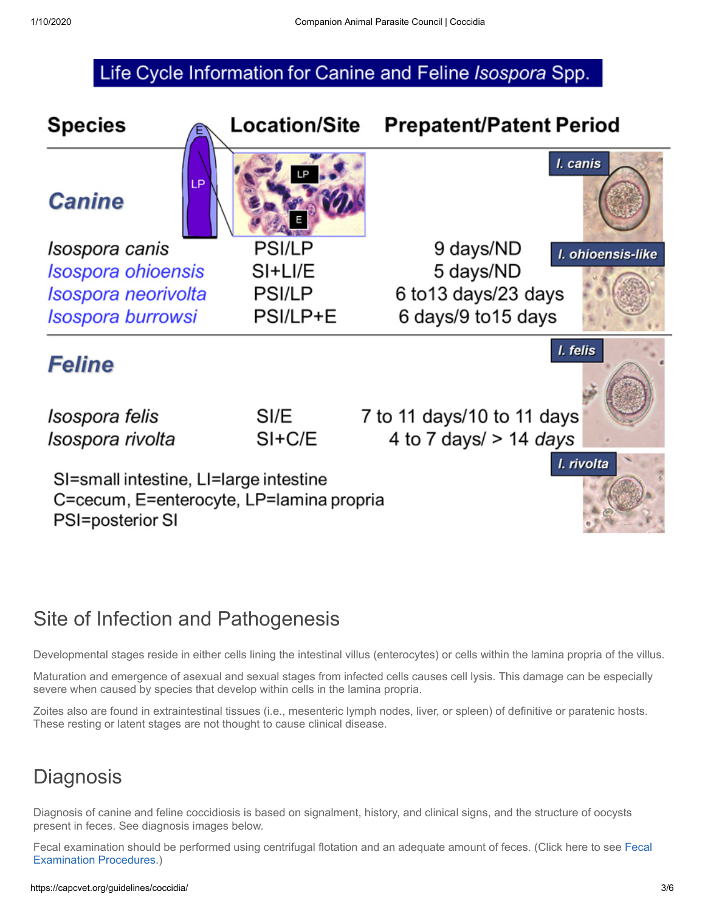### Life Cycle Information for Canine and Feline Isospora Spp.



# Site of Infection and Pathogenesis

Developmental stages reside in either cells lining the intestinal villus (enterocytes) or cells within the lamina propria of the villus.

Maturation and emergence of asexual and sexual stages from infected cells causes cell lysis. This damage can be especially severe when caused by species that develop within cells in the lamina propria.

Zoites also are found in extraintestinal tissues (i.e., mesenteric lymph nodes, liver, or spleen) of definitive or paratenic hosts. These resting or latent stages are not thought to cause clinical disease.

# **Diagnosis**

Diagnosis of canine and feline coccidiosis is based on signalment, history, and clinical signs, and the structure of oocysts present in feces. See diagnosis images below.

[Fecal examination should be performed using centrifugal flotation and an adequate amount of feces. \(Click here to see Fecal](https://capcvet.org/articles/fecal-exam-procedures/) Examination Procedures.)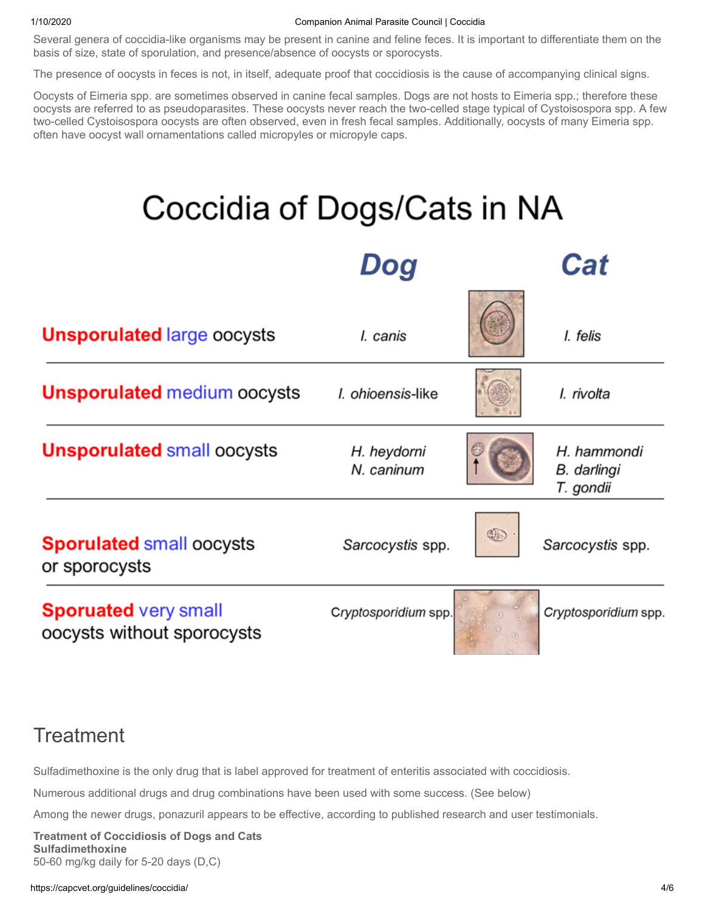#### 1/10/2020 Companion Animal Parasite Council | Coccidia

Several genera of coccidia-like organisms may be present in canine and feline feces. It is important to differentiate them on the basis of size, state of sporulation, and presence/absence of oocysts or sporocysts.

The presence of oocysts in feces is not, in itself, adequate proof that coccidiosis is the cause of accompanying clinical signs.

Oocysts of Eimeria spp. are sometimes observed in canine fecal samples. Dogs are not hosts to Eimeria spp.; therefore these oocysts are referred to as pseudoparasites. These oocysts never reach the two-celled stage typical of Cystoisospora spp. A few two-celled Cystoisospora oocysts are often observed, even in fresh fecal samples. Additionally, oocysts of many Eimeria spp. often have oocyst wall ornamentations called micropyles or micropyle caps.



# **Treatment**

Sulfadimethoxine is the only drug that is label approved for treatment of enteritis associated with coccidiosis.

Numerous additional drugs and drug combinations have been used with some success. (See below)

Among the newer drugs, ponazuril appears to be effective, according to published research and user testimonials.

**Treatment of Coccidiosis of Dogs and Cats Sulfadimethoxine** 50-60 mg/kg daily for 5-20 days (D,C)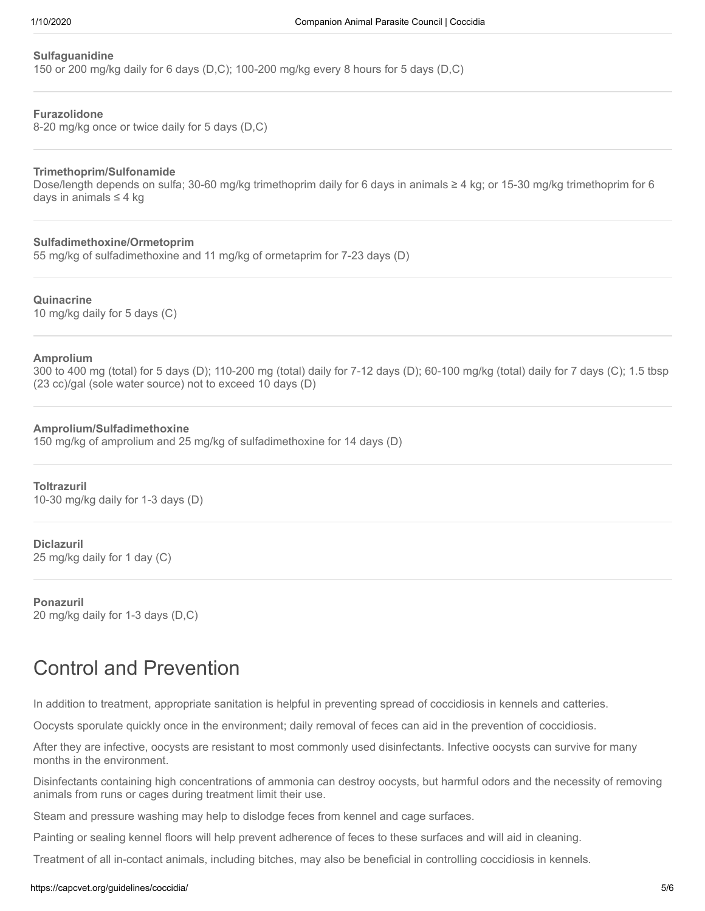#### **Sulfaguanidine**

150 or 200 mg/kg daily for 6 days (D,C); 100-200 mg/kg every 8 hours for 5 days (D,C)

### **Furazolidone**

8-20 mg/kg once or twice daily for 5 days (D,C)

#### **Trimethoprim/Sulfonamide**

Dose/length depends on sulfa; 30-60 mg/kg trimethoprim daily for 6 days in animals ≥ 4 kg; or 15-30 mg/kg trimethoprim for 6 days in animals ≤ 4 kg

**Sulfadimethoxine/Ormetoprim** 55 mg/kg of sulfadimethoxine and 11 mg/kg of ormetaprim for 7-23 days (D)

**Quinacrine** 10 mg/kg daily for 5 days (C)

#### **Amprolium**

300 to 400 mg (total) for 5 days (D); 110-200 mg (total) daily for 7-12 days (D); 60-100 mg/kg (total) daily for 7 days (C); 1.5 tbsp (23 cc)/gal (sole water source) not to exceed 10 days (D)

#### **Amprolium/Sulfadimethoxine**

150 mg/kg of amprolium and 25 mg/kg of sulfadimethoxine for 14 days (D)

**Toltrazuril** 10-30 mg/kg daily for 1-3 days (D)

**Diclazuril**

25 mg/kg daily for 1 day (C)

**Ponazuril** 20 mg/kg daily for 1-3 days (D,C)

# Control and Prevention

In addition to treatment, appropriate sanitation is helpful in preventing spread of coccidiosis in kennels and catteries.

Oocysts sporulate quickly once in the environment; daily removal of feces can aid in the prevention of coccidiosis.

After they are infective, oocysts are resistant to most commonly used disinfectants. Infective oocysts can survive for many months in the environment.

Disinfectants containing high concentrations of ammonia can destroy oocysts, but harmful odors and the necessity of removing animals from runs or cages during treatment limit their use.

Steam and pressure washing may help to dislodge feces from kennel and cage surfaces.

Painting or sealing kennel floors will help prevent adherence of feces to these surfaces and will aid in cleaning.

Treatment of all in-contact animals, including bitches, may also be beneficial in controlling coccidiosis in kennels.

#### https://capcvet.org/guidelines/coccidia/ 5/6